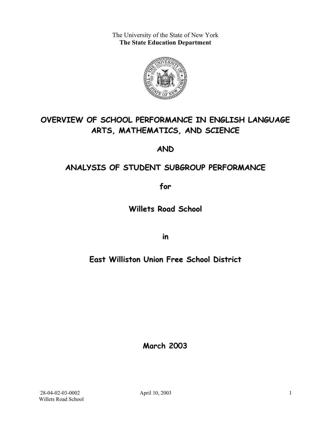The University of the State of New York **The State Education Department** 



# **OVERVIEW OF SCHOOL PERFORMANCE IN ENGLISH LANGUAGE ARTS, MATHEMATICS, AND SCIENCE**

**AND**

## **ANALYSIS OF STUDENT SUBGROUP PERFORMANCE**

**for**

**Willets Road School**

**in**

## **East Williston Union Free School District**

**March 2003**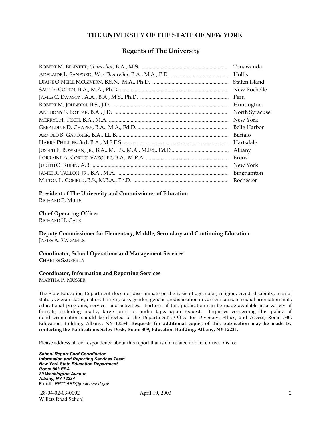#### **THE UNIVERSITY OF THE STATE OF NEW YORK**

#### **Regents of The University**

| Tonawanda      |
|----------------|
| Hollis         |
| Staten Island  |
| New Rochelle   |
| Peru           |
| Huntington     |
| North Syracuse |
| New York       |
| Belle Harbor   |
| Buffalo        |
| Hartsdale      |
| Albany         |
| <b>Bronx</b>   |
| New York       |
|                |
| Rochester      |

#### **President of The University and Commissioner of Education**

RICHARD P. MILLS

#### **Chief Operating Officer**

RICHARD H. CATE

**Deputy Commissioner for Elementary, Middle, Secondary and Continuing Education**  JAMES A. KADAMUS

#### **Coordinator, School Operations and Management Services**  CHARLES SZUBERLA

#### **Coordinator, Information and Reporting Services**

MARTHA P. MUSSER

The State Education Department does not discriminate on the basis of age, color, religion, creed, disability, marital status, veteran status, national origin, race, gender, genetic predisposition or carrier status, or sexual orientation in its educational programs, services and activities. Portions of this publication can be made available in a variety of formats, including braille, large print or audio tape, upon request. Inquiries concerning this policy of nondiscrimination should be directed to the Department's Office for Diversity, Ethics, and Access, Room 530, Education Building, Albany, NY 12234. **Requests for additional copies of this publication may be made by contacting the Publications Sales Desk, Room 309, Education Building, Albany, NY 12234.** 

Please address all correspondence about this report that is not related to data corrections to:

*School Report Card Coordinator Information and Reporting Services Team New York State Education Department Room 863 EBA 89 Washington Avenue Albany, NY 12234*  E-mail: *RPTCARD@mail.nysed.gov*

 28-04-02-03-0002 April 10, 2003 Willets Road School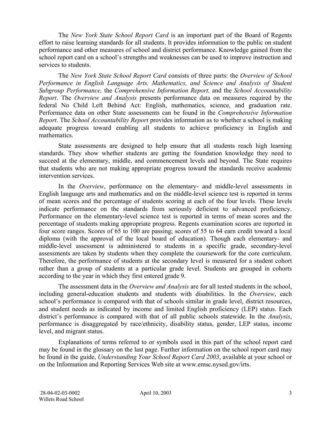The *New York State School Report Card* is an important part of the Board of Regents effort to raise learning standards for all students. It provides information to the public on student performance and other measures of school and district performance. Knowledge gained from the school report card on a school's strengths and weaknesses can be used to improve instruction and services to students.

The *New York State School Report Card* consists of three parts: the *Overview of School Performance in English Language Arts, Mathematics, and Science and Analysis of Student Subgroup Performance,* the *Comprehensive Information Report,* and the *School Accountability Report*. The *Overview and Analysis* presents performance data on measures required by the federal No Child Left Behind Act: English, mathematics, science, and graduation rate. Performance data on other State assessments can be found in the *Comprehensive Information Report*. The *School Accountability Report* provides information as to whether a school is making adequate progress toward enabling all students to achieve proficiency in English and mathematics.

State assessments are designed to help ensure that all students reach high learning standards. They show whether students are getting the foundation knowledge they need to succeed at the elementary, middle, and commencement levels and beyond. The State requires that students who are not making appropriate progress toward the standards receive academic intervention services.

In the *Overview*, performance on the elementary- and middle-level assessments in English language arts and mathematics and on the middle-level science test is reported in terms of mean scores and the percentage of students scoring at each of the four levels. These levels indicate performance on the standards from seriously deficient to advanced proficiency. Performance on the elementary-level science test is reported in terms of mean scores and the percentage of students making appropriate progress. Regents examination scores are reported in four score ranges. Scores of 65 to 100 are passing; scores of 55 to 64 earn credit toward a local diploma (with the approval of the local board of education). Though each elementary- and middle-level assessment is administered to students in a specific grade, secondary-level assessments are taken by students when they complete the coursework for the core curriculum. Therefore, the performance of students at the secondary level is measured for a student cohort rather than a group of students at a particular grade level. Students are grouped in cohorts according to the year in which they first entered grade 9.

The assessment data in the *Overview and Analysis* are for all tested students in the school, including general-education students and students with disabilities. In the *Overview*, each school's performance is compared with that of schools similar in grade level, district resources, and student needs as indicated by income and limited English proficiency (LEP) status. Each district's performance is compared with that of all public schools statewide. In the *Analysis*, performance is disaggregated by race/ethnicity, disability status, gender, LEP status, income level, and migrant status.

Explanations of terms referred to or symbols used in this part of the school report card may be found in the glossary on the last page. Further information on the school report card may be found in the guide, *Understanding Your School Report Card 2003*, available at your school or on the Information and Reporting Services Web site at www.emsc.nysed.gov/irts.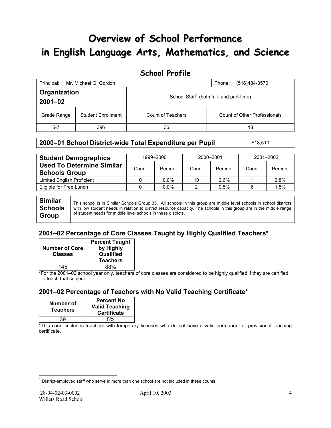# **Overview of School Performance in English Language Arts, Mathematics, and Science**

## **School Profile**

| Principal:                  | Mr. Michael G. Gordon     |                                                      | (516)484-3570<br>Phone:      |
|-----------------------------|---------------------------|------------------------------------------------------|------------------------------|
| Organization<br>$2001 - 02$ |                           | School Staff <sup>1</sup> (both full- and part-time) |                              |
| Grade Range                 | <b>Student Enrollment</b> | Count of Teachers                                    | Count of Other Professionals |
| $5 - 7$                     | 396                       | 36                                                   | 18                           |

### **2000–01 School District-wide Total Expenditure per Pupil | \$18,510**

| <b>Student Demographics</b>                              | 1999-2000 |         | 2000-2001 |         | 2001-2002 |         |
|----------------------------------------------------------|-----------|---------|-----------|---------|-----------|---------|
| <b>Used To Determine Similar</b><br><b>Schools Group</b> | Count     | Percent | Count     | Percent | Count     | Percent |
| <b>Limited English Proficient</b>                        |           | $0.0\%$ | 10        | 2.6%    | 11        | 2.8%    |
| Eligible for Free Lunch                                  |           | $0.0\%$ | າ         | 0.5%    |           | 1.5%    |
|                                                          |           |         |           |         |           |         |

**Similar Schools Group**  This school is in Similar Schools Group 35. All schools in this group are middle level schools in school districts with low student needs in relation to district resource capacity. The schools in this group are in the middle range of student needs for middle level schools in these districts.

## **2001–02 Percentage of Core Classes Taught by Highly Qualified Teachers\***

| <b>Number of Core</b><br><b>Classes</b> | <b>Percent Taught</b><br>by Highly<br>Qualified<br><b>Teachers</b> |
|-----------------------------------------|--------------------------------------------------------------------|
| 145                                     | 88%                                                                |

\*For the 2001–02 school year only, teachers of core classes are considered to be highly qualified if they are certified to teach that subject.

## **2001–02 Percentage of Teachers with No Valid Teaching Certificate\***

| Number of<br><b>Teachers</b> | <b>Percent No</b><br><b>Valid Teaching</b><br><b>Certificate</b> |
|------------------------------|------------------------------------------------------------------|
| 39                           | 5%                                                               |

\*This count includes teachers with temporary licenses who do not have a valid permanent or provisional teaching certificate.

 $\overline{a}$ 

 $1$  District-employed staff who serve in more than one school are not included in these counts.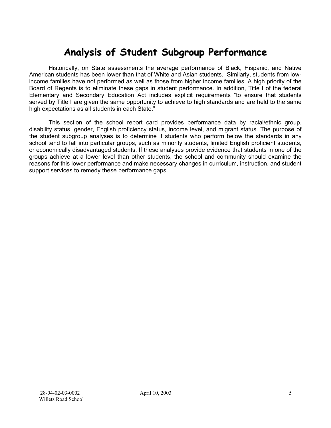# **Analysis of Student Subgroup Performance**

Historically, on State assessments the average performance of Black, Hispanic, and Native American students has been lower than that of White and Asian students. Similarly, students from lowincome families have not performed as well as those from higher income families. A high priority of the Board of Regents is to eliminate these gaps in student performance. In addition, Title I of the federal Elementary and Secondary Education Act includes explicit requirements "to ensure that students served by Title I are given the same opportunity to achieve to high standards and are held to the same high expectations as all students in each State."

This section of the school report card provides performance data by racial/ethnic group, disability status, gender, English proficiency status, income level, and migrant status. The purpose of the student subgroup analyses is to determine if students who perform below the standards in any school tend to fall into particular groups, such as minority students, limited English proficient students, or economically disadvantaged students. If these analyses provide evidence that students in one of the groups achieve at a lower level than other students, the school and community should examine the reasons for this lower performance and make necessary changes in curriculum, instruction, and student support services to remedy these performance gaps.